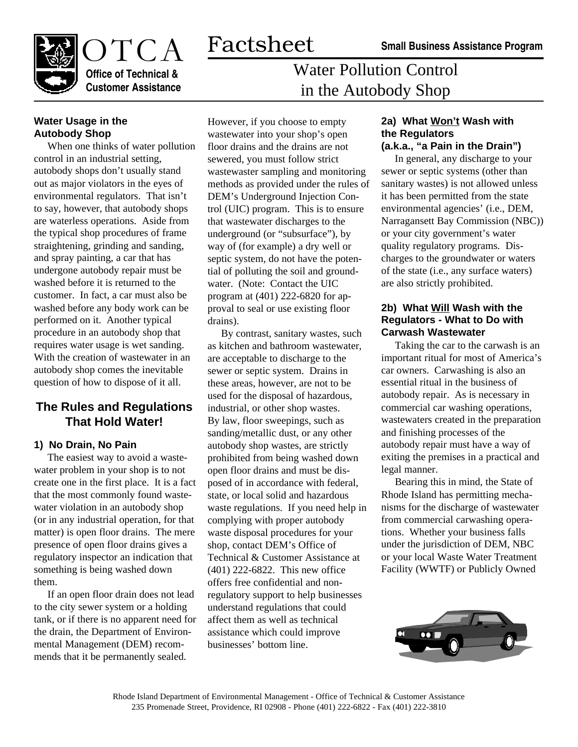

# Water Pollution Control in the Autobody Shop

### **Water Usage in the Autobody Shop**

When one thinks of water pollution control in an industrial setting, autobody shops don't usually stand out as major violators in the eyes of environmental regulators. That isn't to say, however, that autobody shops are waterless operations. Aside from the typical shop procedures of frame straightening, grinding and sanding, and spray painting, a car that has undergone autobody repair must be washed before it is returned to the customer. In fact, a car must also be washed before any body work can be performed on it. Another typical procedure in an autobody shop that requires water usage is wet sanding. With the creation of wastewater in an autobody shop comes the inevitable question of how to dispose of it all.

## **The Rules and Regulations That Hold Water!**

#### **1) No Drain, No Pain**

The easiest way to avoid a wastewater problem in your shop is to not create one in the first place. It is a fact that the most commonly found wastewater violation in an autobody shop (or in any industrial operation, for that matter) is open floor drains. The mere presence of open floor drains gives a regulatory inspector an indication that something is being washed down them.

If an open floor drain does not lead to the city sewer system or a holding tank, or if there is no apparent need for the drain, the Department of Environmental Management (DEM) recommends that it be permanently sealed.

However, if you choose to empty wastewater into your shop's open floor drains and the drains are not sewered, you must follow strict wastewaster sampling and monitoring methods as provided under the rules of DEM's Underground Injection Control (UIC) program. This is to ensure that wastewater discharges to the underground (or "subsurface"), by way of (for example) a dry well or septic system, do not have the potential of polluting the soil and groundwater. (Note: Contact the UIC program at (401) 222-6820 for approval to seal or use existing floor drains).

By contrast, sanitary wastes, such as kitchen and bathroom wastewater, are acceptable to discharge to the sewer or septic system. Drains in these areas, however, are not to be used for the disposal of hazardous, industrial, or other shop wastes. By law, floor sweepings, such as sanding/metallic dust, or any other autobody shop wastes, are strictly prohibited from being washed down open floor drains and must be disposed of in accordance with federal, state, or local solid and hazardous waste regulations. If you need help in complying with proper autobody waste disposal procedures for your shop, contact DEM's Office of Technical & Customer Assistance at (401) 222-6822. This new office offers free confidential and nonregulatory support to help businesses understand regulations that could affect them as well as technical assistance which could improve businesses' bottom line.

#### **2a) What Won't Wash with the Regulators (a.k.a., "a Pain in the Drain")**

In general, any discharge to your sewer or septic systems (other than sanitary wastes) is not allowed unless it has been permitted from the state environmental agencies' (i.e., DEM, Narragansett Bay Commission (NBC)) or your city government's water quality regulatory programs. Discharges to the groundwater or waters of the state (i.e., any surface waters) are also strictly prohibited.

#### **2b) What Will Wash with the Regulators - What to Do with Carwash Wastewater**

Taking the car to the carwash is an important ritual for most of America's car owners. Carwashing is also an essential ritual in the business of autobody repair. As is necessary in commercial car washing operations, wastewaters created in the preparation and finishing processes of the autobody repair must have a way of exiting the premises in a practical and legal manner.

Bearing this in mind, the State of Rhode Island has permitting mechanisms for the discharge of wastewater from commercial carwashing operations. Whether your business falls under the jurisdiction of DEM, NBC or your local Waste Water Treatment Facility (WWTF) or Publicly Owned